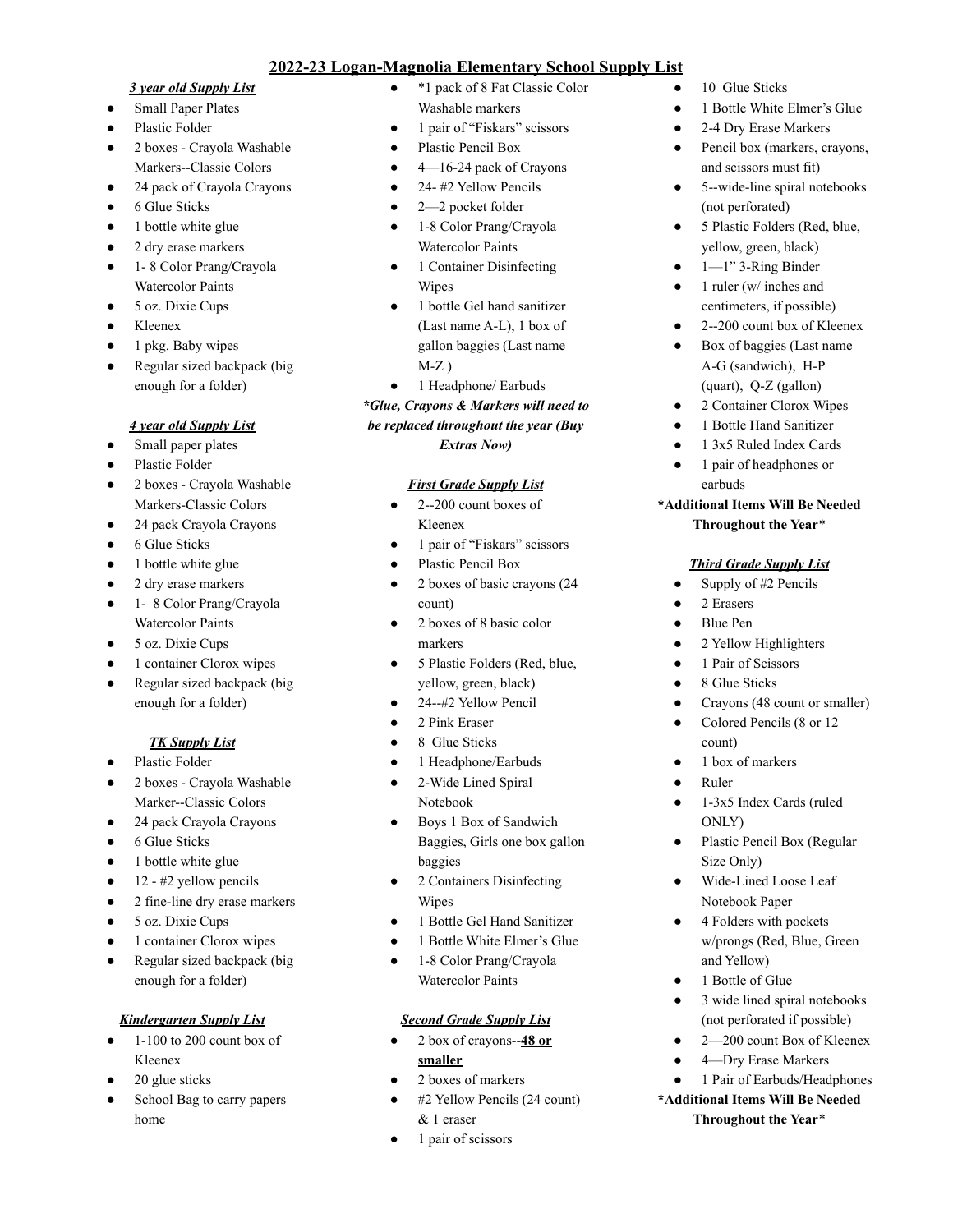# **2022-23 Logan-Magnolia Elementary School Supply List**

#### *3 year old Supply List*

- Small Paper Plates
- Plastic Folder
- 2 boxes Crayola Washable Markers--Classic Colors
- 24 pack of Crayola Crayons
- 6 Glue Sticks
- 1 bottle white glue
- 2 dry erase markers
- 1- 8 Color Prang/Crayola Watercolor Paints
- 5 oz. Dixie Cups
- Kleenex
- 1 pkg. Baby wipes
- Regular sized backpack (big enough for a folder)

### *4 year old Supply List*

- Small paper plates
- Plastic Folder
- 2 boxes Crayola Washable Markers-Classic Colors
- 24 pack Crayola Crayons
- 6 Glue Sticks
- 1 bottle white glue
- 2 dry erase markers
- 1- 8 Color Prang/Crayola Watercolor Paints
- 5 oz. Dixie Cups
- 1 container Clorox wipes
- Regular sized backpack (big enough for a folder)

# *TK Supply List*

- Plastic Folder
- 2 boxes Crayola Washable Marker--Classic Colors
- 24 pack Crayola Crayons
- 6 Glue Sticks
- 1 bottle white glue
- 12 #2 yellow pencils
- 2 fine-line dry erase markers
- 5 oz. Dixie Cups
- 1 container Clorox wipes
- Regular sized backpack (big enough for a folder)

# *Kindergarten Supply List*

- $\bullet$  1-100 to 200 count box of Kleenex
- 20 glue sticks
- School Bag to carry papers home
- \*1 pack of 8 Fat Classic Color Washable markers
- 1 pair of "Fiskars" scissors
- Plastic Pencil Box
- $\bullet$  4—16-24 pack of Crayons
- $\bullet$  24- #2 Yellow Pencils
- $\bullet$  2—2 pocket folder
- 1-8 Color Prang/Crayola Watercolor Paints
- 1 Container Disinfecting Wipes
- 1 bottle Gel hand sanitizer (Last name A-L), 1 box of gallon baggies (Last name  $M-Z$ )
- 1 Headphone/ Earbuds

### *\*Glue, Crayons & Markers will need to be replaced throughout the year (Buy Extras Now)*

### *First Grade Supply List*

- 2--200 count boxes of Kleenex
- 1 pair of "Fiskars" scissors
- Plastic Pencil Box
- 2 boxes of basic crayons (24) count)
- 2 boxes of 8 basic color markers
- 5 Plastic Folders (Red, blue, yellow, green, black)
- 24--#2 Yellow Pencil
- 2 Pink Eraser
- 8 Glue Sticks
- 1 Headphone/Earbuds
- 2-Wide Lined Spiral Notebook
- Boys 1 Box of Sandwich Baggies, Girls one box gallon baggies
- 2 Containers Disinfecting Wipes
- 1 Bottle Gel Hand Sanitizer
- 1 Bottle White Elmer's Glue
- 1-8 Color Prang/Crayola Watercolor Paints

### *Second Grade Supply List*

- 2 box of crayons--**48 or smaller**
- 2 boxes of markers
- #2 Yellow Pencils (24 count) & 1 eraser
- 1 pair of scissors
- 10 Glue Sticks
- 1 Bottle White Elmer's Glue
- 2-4 Dry Erase Markers
- Pencil box (markers, crayons, and scissors must fit)
- 5--wide-line spiral notebooks (not perforated)
- 5 Plastic Folders (Red, blue, yellow, green, black)
- $1 1$ " 3-Ring Binder
- 1 ruler (w/ inches and centimeters, if possible)
- 2--200 count box of Kleenex
- Box of baggies (Last name A-G (sandwich), H-P (quart), Q-Z (gallon)
- 2 Container Clorox Wipes
- 1 Bottle Hand Sanitizer
- 1 3x5 Ruled Index Cards
- 1 pair of headphones or earbuds

### **\*Additional Items Will Be Needed**

### **Throughout the Year**\*

# *Third Grade Supply List*

- Supply of #2 Pencils
- 2 Erasers
- **Blue Pen**
- 2 Yellow Highlighters
- 1 Pair of Scissors
- 8 Glue Sticks
- Crayons (48 count or smaller)
- Colored Pencils (8 or 12 count)

• 1-3x5 Index Cards (ruled

Plastic Pencil Box (Regular

3 wide lined spiral notebooks (not perforated if possible) 2-200 count Box of Kleenex 4-Dry Erase Markers 1 Pair of Earbuds/Headphones

**\*Additional Items Will Be Needed Throughout the Year**\*

Wide-Lined Loose Leaf Notebook Paper 4 Folders with pockets w/prongs (Red, Blue, Green

1 box of markers

ONLY)

Size Only)

and Yellow) 1 Bottle of Glue

● Ruler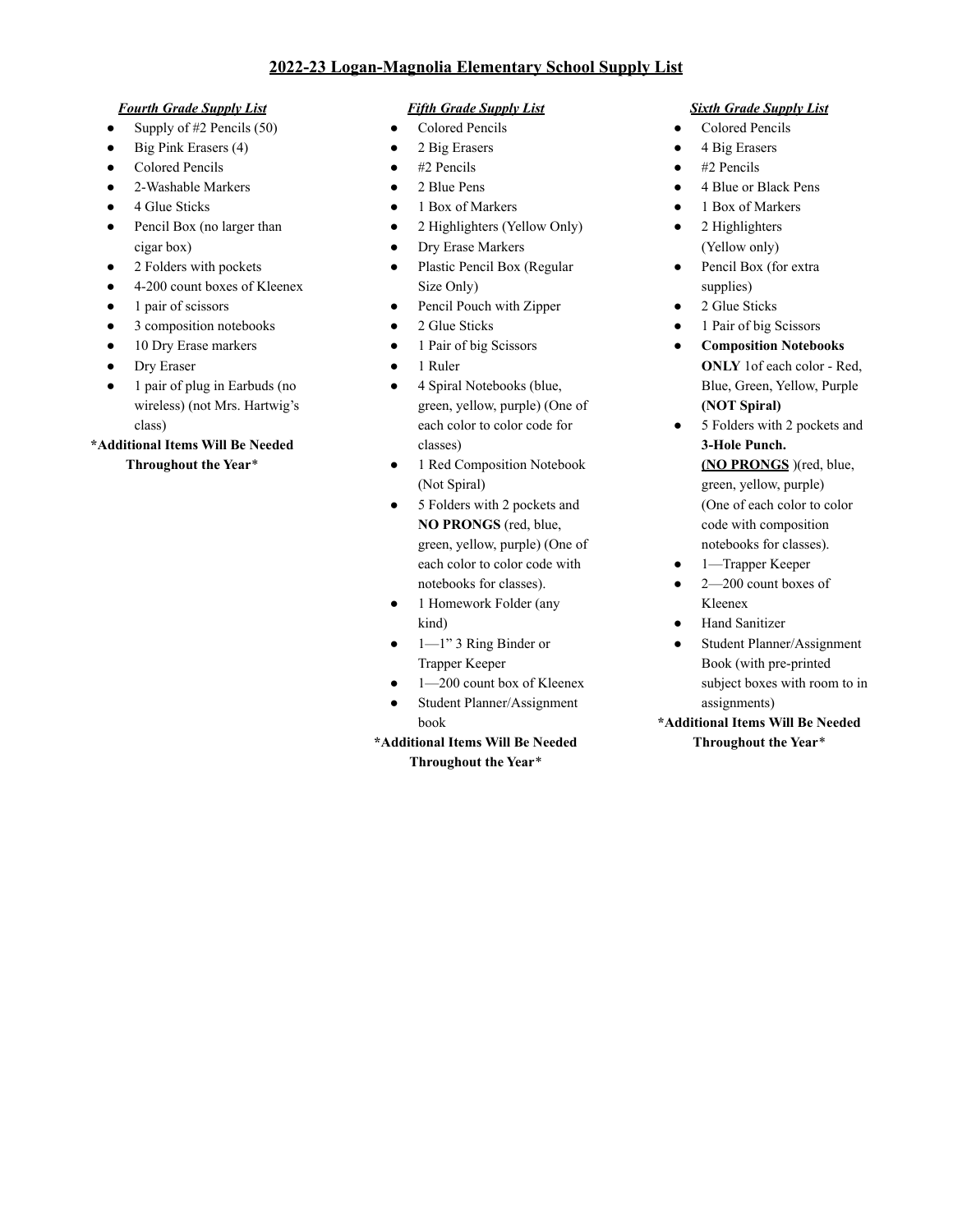## **2022-23 Logan-Magnolia Elementary School Supply List**

#### *Fourth Grade Supply List*

- Supply of  $#2$  Pencils (50)
- Big Pink Erasers (4)
- Colored Pencils
- 2-Washable Markers
- 4 Glue Sticks
- Pencil Box (no larger than cigar box)
- 2 Folders with pockets
- 4-200 count boxes of Kleenex
- 1 pair of scissors
- 3 composition notebooks
- 10 Dry Erase markers
- Dry Eraser
- 1 pair of plug in Earbuds (no wireless) (not Mrs. Hartwig's class)

### **\*Additional Items Will Be Needed Throughout the Year**\*

### *Fifth Grade Supply List*

- Colored Pencils
- 2 Big Erasers
- $\bullet$  #2 Pencils
- 2 Blue Pens
- 1 Box of Markers
- 2 Highlighters (Yellow Only)
- Dry Erase Markers
- Plastic Pencil Box (Regular Size Only)
- Pencil Pouch with Zipper
- 2 Glue Sticks
- 1 Pair of big Scissors
- 1 Ruler
- 4 Spiral Notebooks (blue, green, yellow, purple) (One of each color to color code for classes)
- 1 Red Composition Notebook (Not Spiral)
- 5 Folders with 2 pockets and **NO PRONGS** (red, blue, green, yellow, purple) (One of each color to color code with notebooks for classes).
- 1 Homework Folder (any kind)
- $\bullet$  1—1" 3 Ring Binder or Trapper Keeper
- 1-200 count box of Kleenex
- Student Planner/Assignment book

# **\*Additional Items Will Be Needed Throughout the Year**\*

### *Sixth Grade Supply List*

- Colored Pencils
- 4 Big Erasers
- #2 Pencils
- 4 Blue or Black Pens
- 1 Box of Markers
- 2 Highlighters (Yellow only)
- Pencil Box (for extra supplies)
- 2 Glue Sticks
- 1 Pair of big Scissors
- **Composition Notebooks ONLY** 1of each color - Red, Blue, Green, Yellow, Purple **(NOT Spiral)**
- 5 Folders with 2 pockets and **3-Hole Punch. (NO PRONGS** )(red, blue, green, yellow, purple) (One of each color to color code with composition notebooks for classes).
- 1—Trapper Keeper
- $\bullet$   $2-200$  count boxes of Kleenex
- **Hand Sanitizer**
- Student Planner/Assignment Book (with pre-printed subject boxes with room to in assignments)
- **\*Additional Items Will Be Needed Throughout the Year**\*